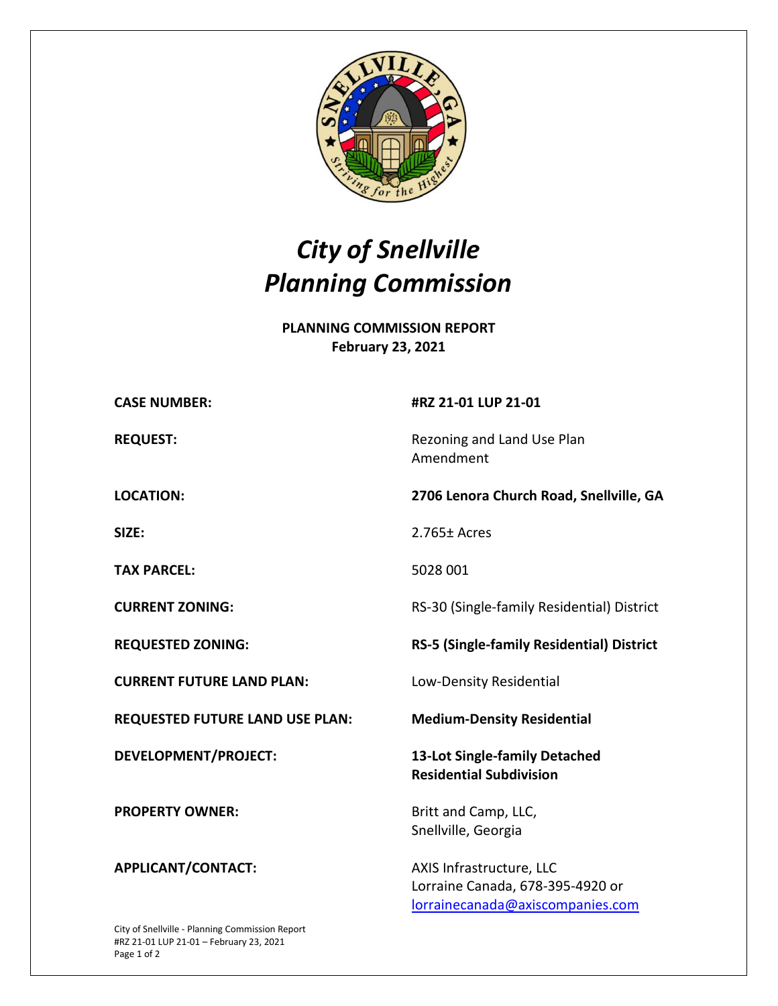

## *City of Snellville Planning Commission*

**PLANNING COMMISSION REPORT February 23, 2021**

| <b>CASE NUMBER:</b>                    | #RZ 21-01 LUP 21-01                                             |
|----------------------------------------|-----------------------------------------------------------------|
| <b>REQUEST:</b>                        | Rezoning and Land Use Plan<br>Amendment                         |
| <b>LOCATION:</b>                       | 2706 Lenora Church Road, Snellville, GA                         |
| SIZE:                                  | $2.765 \pm$ Acres                                               |
| <b>TAX PARCEL:</b>                     | 5028 001                                                        |
| <b>CURRENT ZONING:</b>                 | RS-30 (Single-family Residential) District                      |
| <b>REQUESTED ZONING:</b>               | RS-5 (Single-family Residential) District                       |
| <b>CURRENT FUTURE LAND PLAN:</b>       | Low-Density Residential                                         |
|                                        |                                                                 |
| <b>REQUESTED FUTURE LAND USE PLAN:</b> | <b>Medium-Density Residential</b>                               |
| <b>DEVELOPMENT/PROJECT:</b>            | 13-Lot Single-family Detached<br><b>Residential Subdivision</b> |
| <b>PROPERTY OWNER:</b>                 | Britt and Camp, LLC,<br>Snellville, Georgia                     |

City of Snellville - Planning Commission Report #RZ 21-01 LUP 21-01 – February 23, 2021 Page 1 of 2